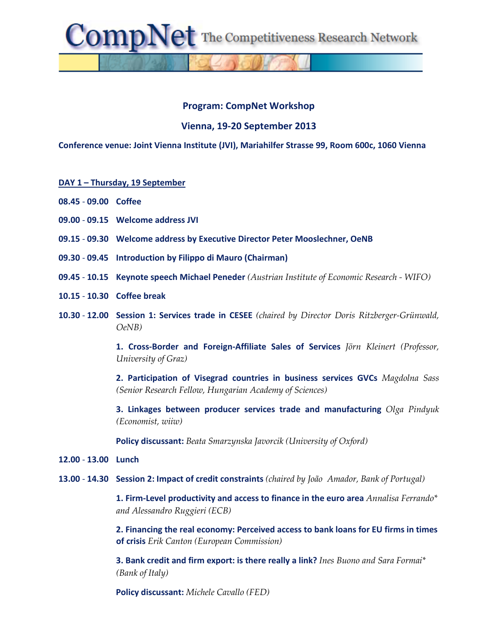The Competitiveness Research Network

## **Program: CompNet Workshop**

## **Vienna, 19-20 September 2013**

**Conference venue: Joint Vienna Institute (JVI), Mariahilfer Strasse 99, Room 600c, 1060 Vienna**

## **DAY 1 – Thursday, 19 September**

omp

- **08.45 09.00 Coffee**
- **09.00 09.15 Welcome address JVI**
- **09.15 09.30 Welcome address by Executive Director Peter Mooslechner, OeNB**
- **09.30 09.45 Introduction by Filippo di Mauro (Chairman)**
- **09.45 10.15 Keynote speech Michael Peneder** *(Austrian Institute of Economic Research - WIFO)*
- **10.15 10.30 Coffee break**
- **10.30 12.00 Session 1: Services trade in CESEE** *(chaired by Director Doris Ritzberger-Grünwald, OeNB)*

**1. Cross-Border and Foreign-Affiliate Sales of Services** *Jörn Kleinert (Professor, University of Graz)*

**2. Participation of Visegrad countries in business services GVCs** *Magdolna Sass (Senior Research Fellow, Hungarian Academy of Sciences)*

**3. Linkages between producer services trade and manufacturing** *Olga Pindyuk (Economist, wiiw)*

**Policy discussant:** *Beata Smarzynska Javorcik (University of Oxford)*

- **12.00 13.00 Lunch**
- **13.00 14.30 Session 2: Impact of credit constraints** *(chaired by João Amador, Bank of Portugal)*

**1. Firm-Level productivity and access to finance in the euro area** *Annalisa Ferrando\* and Alessandro Ruggieri (ECB)*

**2. Financing the real economy: Perceived access to bank loans for EU firms in times of crisis** *Erik Canton (European Commission)*

**3. Bank credit and firm export: is there really a link?** *Ines Buono and Sara Formai\* (Bank of Italy)*

**Policy discussant:** *Michele Cavallo (FED)*